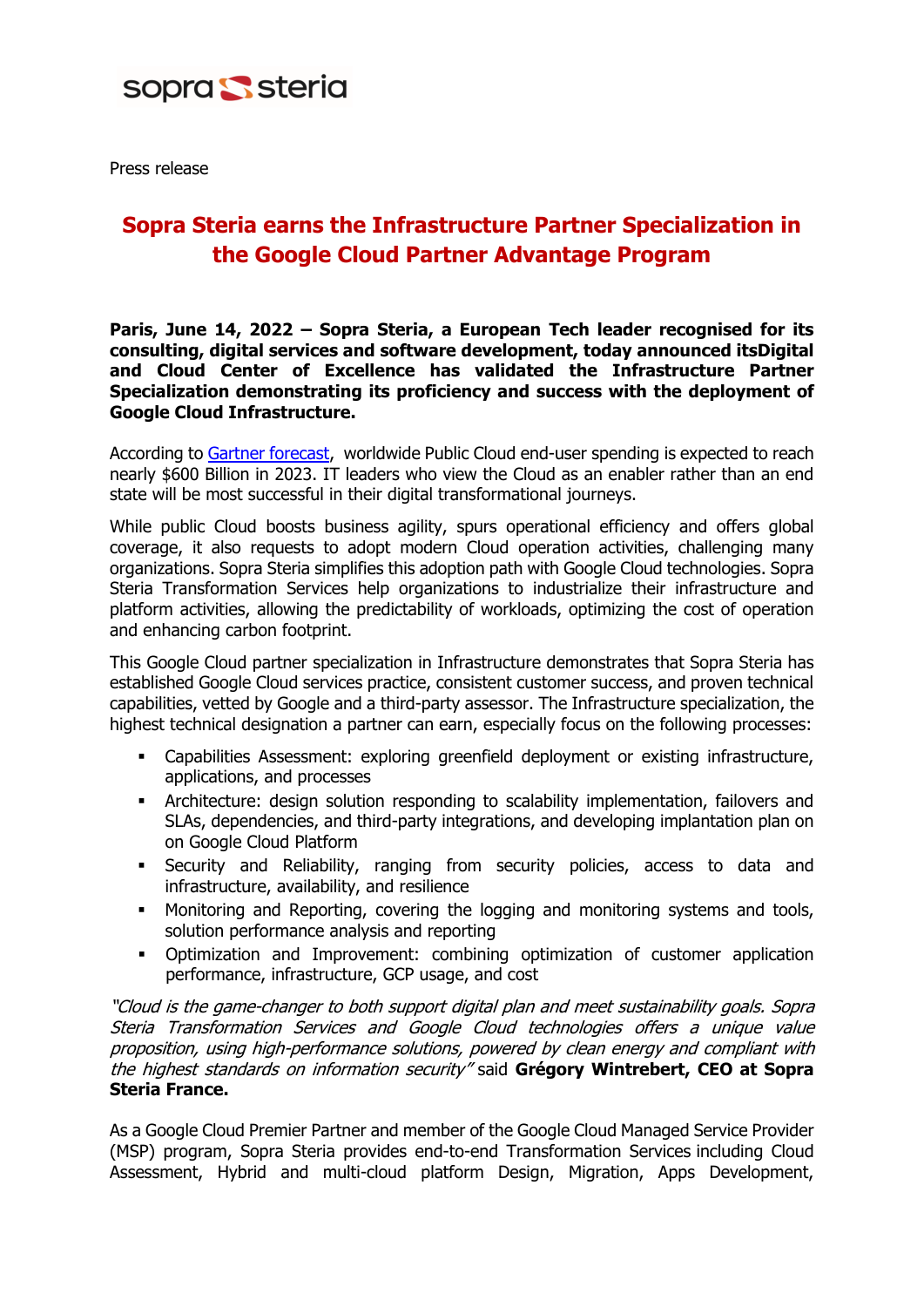

Press release

## **Sopra Steria earns the Infrastructure Partner Specialization in the Google Cloud Partner Advantage Program**

**Paris, June 14, 2022 – Sopra Steria, a European Tech leader recognised for its consulting, digital services and software development, today announced itsDigital and Cloud Center of Excellence has validated the Infrastructure Partner Specialization demonstrating its proficiency and success with the deployment of Google Cloud Infrastructure.**

According to Gartner [forecast,](https://www.gartner.com/en/newsroom/press-releases/2022-04-19-gartner-forecasts-worldwide-public-cloud-end-user-spending-to-reach-nearly-500-billion-in-2022) worldwide Public Cloud end-user spending is expected to reach nearly \$600 Billion in 2023. IT leaders who view the Cloud as an enabler rather than an end state will be most successful in their digital transformational journeys.

While public Cloud boosts business agility, spurs operational efficiency and offers global coverage, it also requests to adopt modern Cloud operation activities, challenging many organizations. Sopra Steria simplifies this adoption path with Google Cloud technologies. Sopra Steria Transformation Services help organizations to industrialize their infrastructure and platform activities, allowing the predictability of workloads, optimizing the cost of operation and enhancing carbon footprint.

This Google Cloud partner specialization in Infrastructure demonstrates that Sopra Steria has established Google Cloud services practice, consistent customer success, and proven technical capabilities, vetted by Google and a third-party assessor. The Infrastructure specialization, the highest technical designation a partner can earn, especially focus on the following processes:

- Capabilities Assessment: exploring greenfield deployment or existing infrastructure, applications, and processes
- Architecture: design solution responding to scalability implementation, failovers and SLAs, dependencies, and third-party integrations, and developing implantation plan on on Google Cloud Platform
- **EXECURITY Security and Reliability, ranging from security policies, access to data and** infrastructure, availability, and resilience
- Monitoring and Reporting, covering the logging and monitoring systems and tools, solution performance analysis and reporting
- Optimization and Improvement: combining optimization of customer application performance, infrastructure, GCP usage, and cost

"Cloud is the game-changer to both support digital plan and meet sustainability goals. Sopra Steria Transformation Services and Google Cloud technologies offers a unique value proposition, using high-performance solutions, powered by clean energy and compliant with the highest standards on information security" said **Grégory Wintrebert, CEO at Sopra Steria France.**

As a Google Cloud Premier Partner and member of the Google Cloud Managed Service Provider (MSP) program, Sopra Steria provides end-to-end Transformation Services including Cloud Assessment, Hybrid and multi-cloud platform Design, Migration, Apps Development,